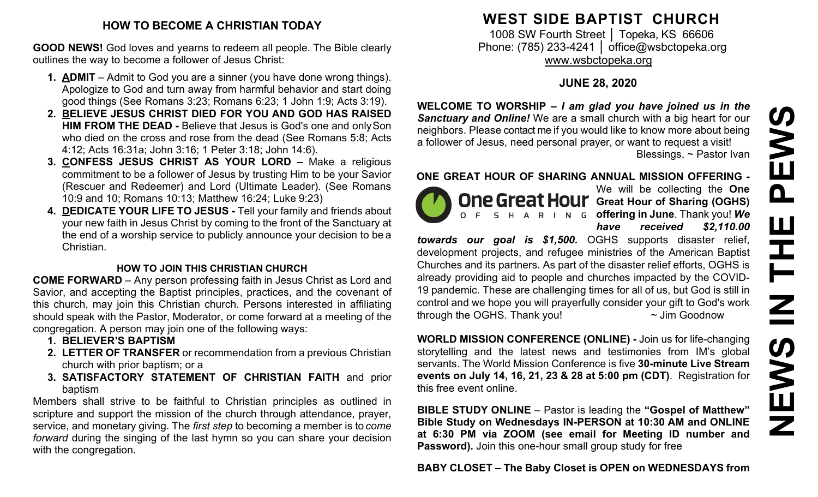#### **HOW TO BECOME A CHRISTIAN TODAY**

**GOOD NEWS!** God loves and yearns to redeem all people. The Bible clearly outlines the way to become a follower of Jesus Christ:

- **1. ADMIT**  Admit to God you are a sinner (you have done wrong things). Apologize to God and turn away from harmful behavior and start doing good things (See Romans 3:23; Romans 6:23; 1 John 1:9; Acts 3:19).
- **2. BELIEVE JESUS CHRIST DIED FOR YOU AND GOD HAS RAISED HIM FROM THE DEAD -** Believe that Jesus is God's one and onlySon who died on the cross and rose from the dead (See Romans 5:8; Acts 4:12; Acts 16:31a; John 3:16; 1 Peter 3:18; John 14:6).
- **3. CONFESS JESUS CHRIST AS YOUR LORD –** Make a religious commitment to be a follower of Jesus by trusting Him to be your Savior (Rescuer and Redeemer) and Lord (Ultimate Leader). (See Romans 10:9 and 10; Romans 10:13; Matthew 16:24; Luke 9:23)
- **4. DEDICATE YOUR LIFE TO JESUS -** Tell your family and friends about your new faith in Jesus Christ by coming to the front of the Sanctuary at the end of a worship service to publicly announce your decision to be a Christian.

#### **HOW TO JOIN THIS CHRISTIAN CHURCH**

**COME FORWARD** – Any person professing faith in Jesus Christ as Lord and Savior, and accepting the Baptist principles, practices, and the covenant of this church, may join this Christian church. Persons interested in affiliating should speak with the Pastor, Moderator, or come forward at a meeting of the congregation. A person may join one of the following ways:

- **1. BELIEVER'S BAPTISM**
- **2. LETTER OF TRANSFER** or recommendation from a previous Christian church with prior baptism; or a
- **3. SATISFACTORY STATEMENT OF CHRISTIAN FAITH** and prior baptism

Members shall strive to be faithful to Christian principles as outlined in scripture and support the mission of the church through attendance, prayer, service, and monetary giving. The *first step* to becoming a member is to *come forward* during the singing of the last hymn so you can share your decision with the congregation.

## **WEST SIDE BAPTIST CHURCH**

1008 SW Fourth Street | Topeka, KS 66606 Phone: (785) 233-4241 │ [office@wsbctopeka.org](mailto:office@wsbctopeka.org) [www.wsbctopeka.org](http://www.wsbctopeka.org/)

### **JUNE 28, 2020**

**WELCOME TO WORSHIP –** *I am glad you have joined us in the Sanctuary and Online!* We are a small church with a big heart for our neighbors. Please contact me if you would like to know more about being a follower of Jesus, need personal prayer, or want to request a visit! Blessings, ~ Pastor Ivan

#### **ONE GREAT HOUR OF SHARING ANNUAL MISSION OFFERING -**



We will be collecting the **One One Great Hour** Great Hour of Sharing (OGHS) **offering in June**. Thank you! *We have received \$2,110.00* 

*towards our goal is \$1,500.* OGHS supports disaster relief, development projects, and refugee ministries of the American Baptist Churches and its partners. As part of the disaster relief efforts, OGHS is already providing aid to people and churches impacted by the COVID-19 pandemic. These are challenging times for all of us, but God is still in control and we hope you will prayerfully consider your gift to God's work through the OGHS. Thank you!  $\sim$  Jim Goodnow

**WORLD MISSION CONFERENCE (ONLINE) -** Join us for life-changing storytelling and the latest news and testimonies from IM's global servants. The World Mission Conference is five **30-minute Live Stream events on July 14, 16, 21, 23 & 28 at 5:00 pm (CDT)**. Registration for this free event online.

**BIBLE STUDY ONLINE** – Pastor is leading the **"Gospel of Matthew" Bible Study on Wednesdays IN-PERSON at 10:30 AM and ONLINE at 6:30 PM via ZOOM (see email for Meeting ID number and Password).** Join this one-hour small group study for free

**BABY CLOSET – The Baby Closet is OPEN on WEDNESDAYS from**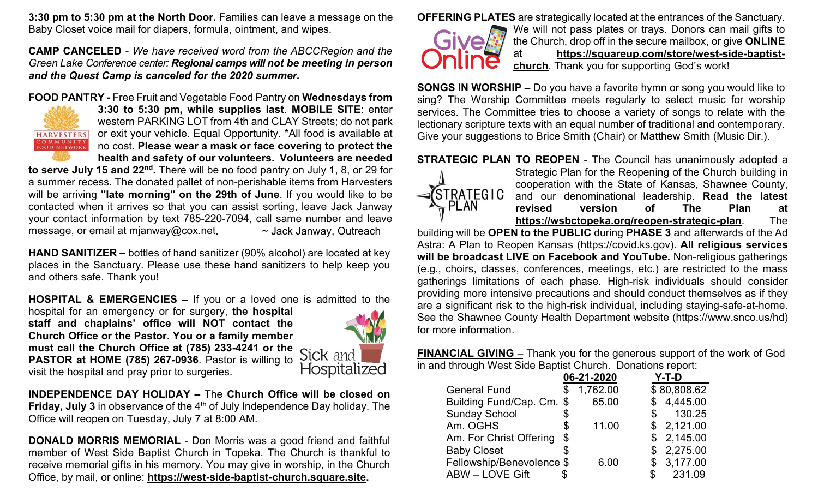**3:30 pm to 5:30 pm at the North Door.** Families can leave a message on the Baby Closet voice mail for diapers, formula, ointment, and wipes.

**CAMP CANCELED** - *We have received word from the ABCCRegion and the Green Lake Conference center: Regional camps will not be meeting in person and the Quest Camp is canceled for the 2020 summer.* 

#### **FOOD PANTRY -** Free Fruit and Vegetable Food Pantry on **Wednesdays from**



**3:30 to 5:30 pm, while supplies last**. **MOBILE SITE**: enter western PARKING LOT from 4th and CLAY Streets; do not park or exit your vehicle. Equal Opportunity. \*All food is available at no cost. **Please wear a mask or face covering to protect the health and safety of our volunteers. Volunteers are needed** 

**to serve July 15 and 22nd.** There will be no food pantry on July 1, 8, or 29 for a summer recess. The donated pallet of non-perishable items from Harvesters will be arriving **"late morning" on the 29th of June**. If you would like to be contacted when it arrives so that you can assist sorting, leave Jack Janway your contact information by text 785-220-7094, call same number and leave message, or email at [mjanway@cox.net.](mailto:mjanway@cox.net) ~ > Jack Janway, Outreach

**HAND SANITIZER –** bottles of hand sanitizer (90% alcohol) are located at key places in the Sanctuary. Please use these hand sanitizers to help keep you and others safe. Thank you!

**HOSPITAL & EMERGENCIES –** If you or a loved one is admitted to the

hospital for an emergency or for surgery, **the hospital staff and chaplains' office will NOT contact the Church Office or the Pastor**. **You or a family member must call the Church Office at (785) 233-4241 or the PASTOR at HOME (785) 267-0936**. Pastor is willing to visit the hospital and pray prior to surgeries.



**INDEPENDENCE DAY HOLIDAY –** The **Church Office will be closed on Friday, July 3** in observance of the 4<sup>th</sup> of July Independence Day holiday. The Office will reopen on Tuesday, July 7 at 8:00 AM.

**DONALD MORRIS MEMORIAL** - Don Morris was a good friend and faithful member of West Side Baptist Church in Topeka. The Church is thankful to receive memorial gifts in his memory. You may give in worship, in the Church Office, by mail, or online: **[https://west-side-baptist-church.square.site.](https://west-side-baptist-church.square.site/)** 

**OFFERING PLATES** are strategically located at the entrances of the Sanctuary.



We will not pass plates or trays. Donors can mail gifts to the Church, drop off in the secure mailbox, or give **ONLINE** at **[https://squareup.com/store/west-side-baptist](https://squareup.com/store/west-side-baptist-church)[church](https://squareup.com/store/west-side-baptist-church)**. Thank you for supporting God's work!

**SONGS IN WORSHIP –** Do you have a favorite hymn or song you would like to sing? The Worship Committee meets regularly to select music for worship services. The Committee tries to choose a variety of songs to relate with the lectionary scripture texts with an equal number of traditional and contemporary. Give your suggestions to Brice Smith (Chair) or Matthew Smith (Music Dir.).

**STRATEGIC PLAN TO REOPEN** - The Council has unanimously adopted a Strategic Plan for the Reopening of the Church building in cooperation with the State of Kansas, Shawnee County,  $\sqrt{\text{STRATEG1C}}$ and our denominational leadership. **Read the latest**   $\sim$  PLAN **revised version of The Plan at <https://wsbctopeka.org/reopen-strategic-plan>**. The

building will be **OPEN to the PUBLIC** during **PHASE 3** and afterwards of the Ad Astra: A Plan to Reopen Kansas (https://covid.ks.gov). **All religious services will be broadcast LIVE on Facebook and YouTube.** Non-religious gatherings (e.g., choirs, classes, conferences, meetings, etc.) are restricted to the mass gatherings limitations of each phase. High-risk individuals should consider providing more intensive precautions and should conduct themselves as if they are a significant risk to the high-risk individual, including staying-safe-at-home. See the Shawnee County Health Department website (https://www.snco.us/hd) for more information.

**FINANCIAL GIVING** – Thank you for the generous support of the work of God in and through West Side Baptist Church. Donations report:

|                           |    | 06-21-2020 | Y-T-D        |
|---------------------------|----|------------|--------------|
| <b>General Fund</b>       | \$ | 1,762.00   | \$80,808.62  |
| Building Fund/Cap. Cm. \$ |    | 65.00      | \$4,445.00   |
| <b>Sunday School</b>      | \$ |            | 130.25<br>S  |
| Am. OGHS                  | \$ | 11.00      | \$2,121.00   |
| Am. For Christ Offering   | \$ |            | \$2,145.00   |
| <b>Baby Closet</b>        | S  |            | \$2,275.00   |
| Fellowship/Benevolence \$ |    | 6.00       | \$3,177.00   |
| <b>ABW-LOVE Gift</b>      |    |            | 231.09<br>\$ |